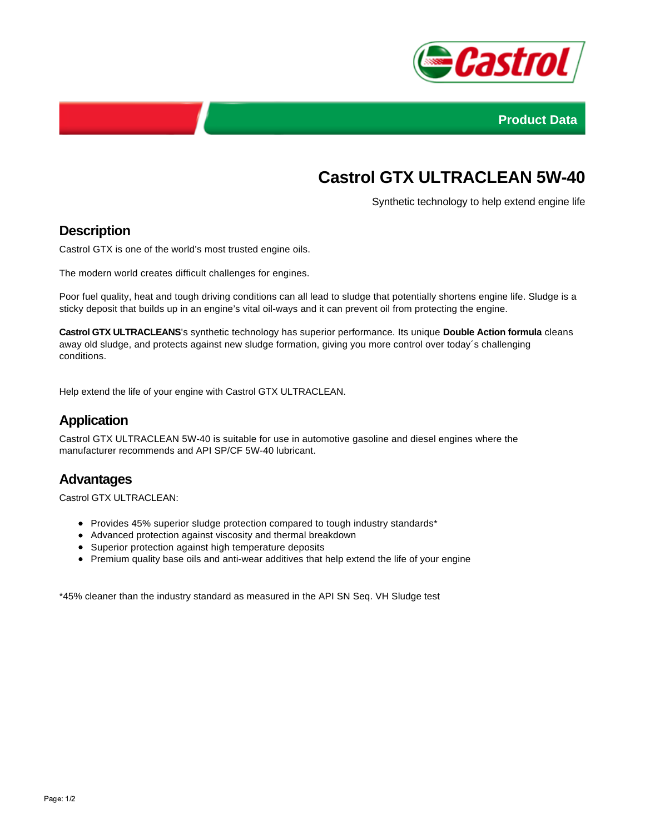



# **Castrol GTX ULTRACLEAN 5W-40**

Synthetic technology to help extend engine life

#### **Description**

Castrol GTX is one of the world's most trusted engine oils.

The modern world creates difficult challenges for engines.

Poor fuel quality, heat and tough driving conditions can all lead to sludge that potentially shortens engine life. Sludge is a sticky deposit that builds up in an engine's vital oil-ways and it can prevent oil from protecting the engine.

**Castrol GTX ULTRACLEANS**'s synthetic technology has superior performance. Its unique **Double Action formula** cleans away old sludge, and protects against new sludge formation, giving you more control over today´s challenging conditions.

Help extend the life of your engine with Castrol GTX ULTRACLEAN.

#### **Application**

Castrol GTX ULTRACLEAN 5W-40 is suitable for use in automotive gasoline and diesel engines where the manufacturer recommends and API SP/CF 5W-40 lubricant.

#### **Advantages**

Castrol GTX ULTRACLEAN:

- Provides 45% superior sludge protection compared to tough industry standards\*
- Advanced protection against viscosity and thermal breakdown
- Superior protection against high temperature deposits
- Premium quality base oils and anti-wear additives that help extend the life of your engine

\*45% cleaner than the industry standard as measured in the API SN Seq. VH Sludge test